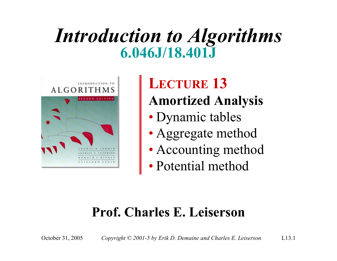#### *Introduction to Algorithms* **6.046J/18.401J**



**LECTURE 13 Amortized Analysis**

- Dynamic tables
- Aggregate method
- Accounting method
- Potential method

#### **Prof. Charles E. Leiserson**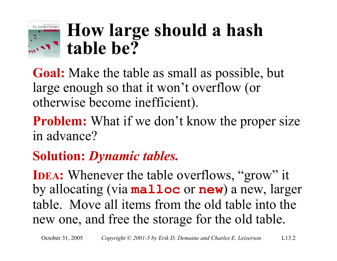

#### **How large should a hash table be?**

**Goal:** Make the table as small as possible, but large enough so that it won't overflow (or otherwise become inefficient).

**Problem:** What if we don't know the proper size in advance?

#### **Solution:** *Dynamic tables.*

**IDEA:** Whenever the table overflows, "grow" it by allocating (via **malloc** or **new**) a new, larger table. Move all items from the old table into the new one, and free the storage for the old table.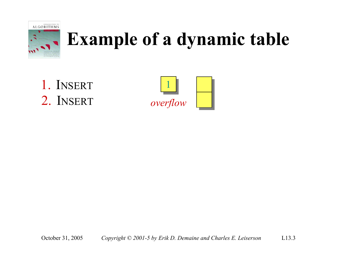

1. INSERT2. INSERT

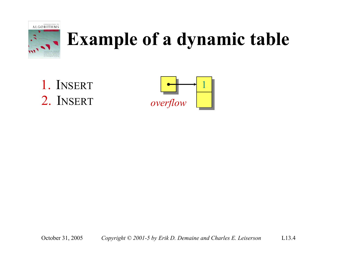

1. INSERT2. INSERT

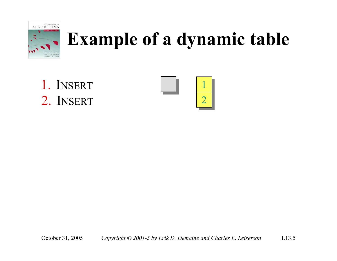

1. INSERT2. INSERT

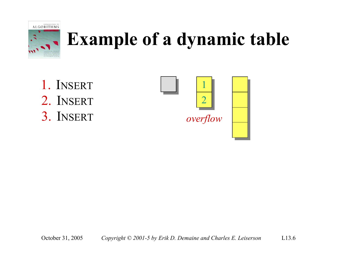

1. INSERT2. INSERT3. INSERT

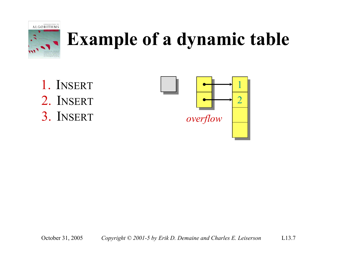

1. INSERT2. INSERT3. INSERT

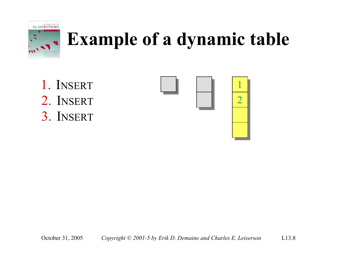

1. INSERT2. INSERT3. INSERT

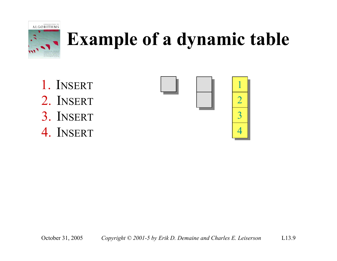

- 1. INSERT2. INSERT3. INSERT
- 4. INSERT

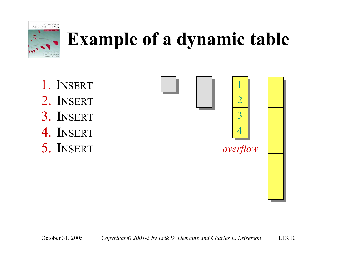

- 1. INSERT
- 2. INSERT
- 3. INSERT
- 4. INSERT
- 5. INSERT

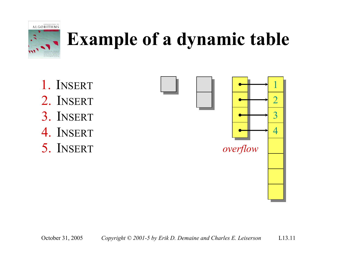

- 1. INSERT
- 2. INSERT
- 3. INSERT
- 4. INSERT
- 5. INSERT

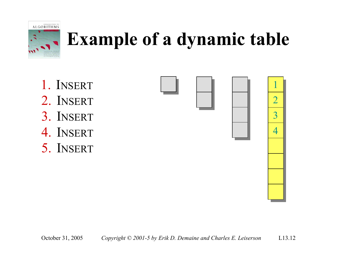

- 1. INSERT
- 2. INSERT
- 3. INSERT
- 4. INSERT
- 5. INSERT

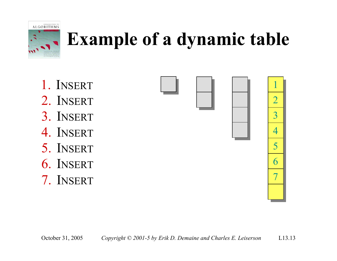

- 1. INSERT
- 2. INSERT
- 3. INSERT
- 4. INSERT
- 5. INSERT
- 6. INSERT
- 7. INSERT





1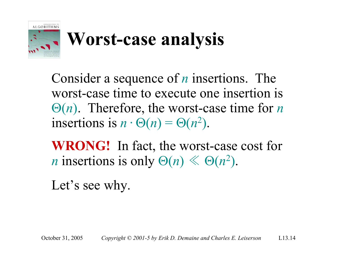

## **Worst-case analysis**

Consider a sequence of *<sup>n</sup>* insertions. The worst-case time to execute one insertion is Θ(*n*). Therefore, the worst-case time for *<sup>n</sup>* insertions is  $n \cdot \Theta(n) = \Theta(n^2)$ .

**WRONG!** In fact, the worst-case cost for *n* insertions is only  $\Theta(n) \ll \Theta(n^2)$ .

Let's see why.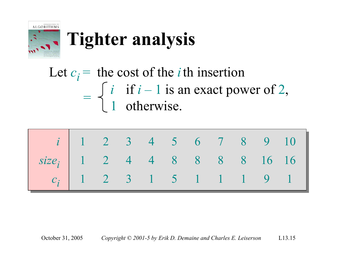

## **Tighter analysis**

Let  $c_i$  = the cost of the *i* th insertion =*i* if *i* – 1 is an exact power of 2, 1 otherwise.

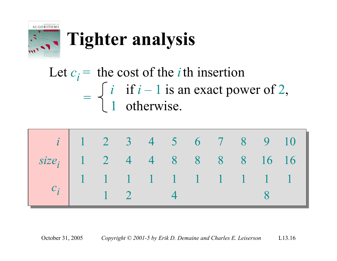

## **Tighter analysis**

Let  $c_i$  = the cost of the *i* th insertion =*i* if *i* – 1 is an exact power of 2, 1 otherwise.

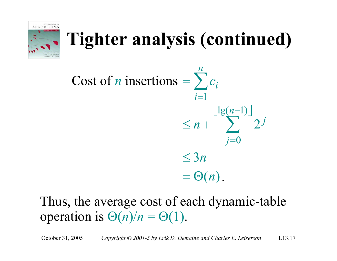

## **Tighter analysis (continued)**

 $\lfloor \lg(n-1) \rfloor$  $= \Theta(n)$ . 3*n*≤2  $lg(n-1)$ *j*=0 1*i*=*n c n*  $\leq n + \qquad \qquad$ <sup>*j*</sup> *n*  $=$   $\sum c_i$ ∑ Cost of *n* insertions  $= \sum$ −

#### Thus, the average cost of each dynamic-table operation is  $\Theta(n)/n = \Theta(1)$ .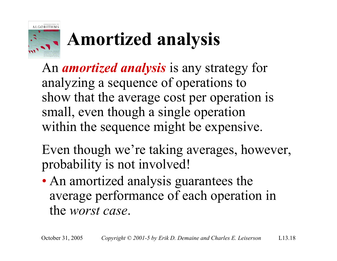

## **Amortized analysis**

An *amortized analysis* is any strategy for analyzing a sequence of operations to show that the average cost per operation is small, even though a single operation within the sequence might be expensive.

Even though we're taking averages, however, probability is not involved!

• An amortized analysis guarantees the average performance of each operation in the *worst case*.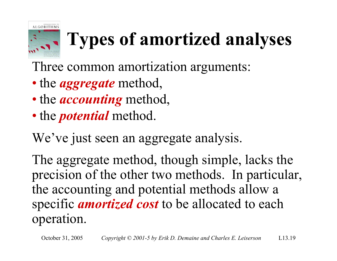

## **Types of amortized analyses**

- Three common amortization arguments:
- the *aggregate* method,
- the *accounting* method,
- the *potential* method.

We've just seen an aggregate analysis.

The aggregate method, though simple, lacks the precision of the other two methods. In particular, the accounting and potential methods allow a specific *amortized cost* to be allocated to each operation.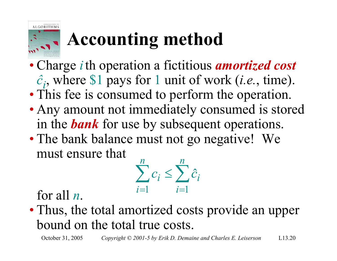# **Accounting method**

- Charge *i* th operation a fictitious *amortized cost <sup>ĉ</sup>i*, where \$1 pays for 1 unit of work (*i.e.*, time).
- This fee is consumed to perform the operation.
- Any amount not immediately consumed is stored in the *bank* for use by subsequent operations.
- The bank balance must not go negative! We must ensure that



for all *<sup>n</sup>*.

**ALGORITHMS** 

• Thus, the total amortized costs provide an upper bound on the total true costs.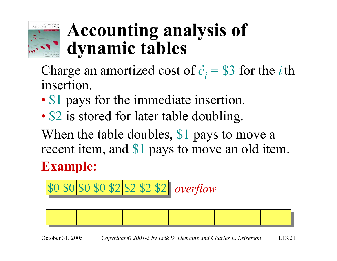

### **Accounting analysis of dynamic tables**

Charge an amortized cost of  $\hat{c}_i$  = \$3 for the *i* th insertion.

- •• \$1 pays for the immediate insertion.
- •• \$2 is stored for later table doubling.

When the table doubles, \$1 pays to move a recent item, and \$1 pays to move an old item.

#### **Example:**





October 31, 2005 *Copyright © 2001-5 by Erik D. Demaine and Charles E. Leiserson* L13.21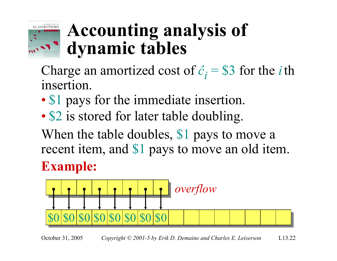

### **Accounting analysis of dynamic tables**

Charge an amortized cost of  $\hat{c}_i$  = \$3 for the *i* th insertion.

- •• \$1 pays for the immediate insertion.
- •• \$2 is stored for later table doubling.

**Example:** When the table doubles, \$1 pays to move a recent item, and \$1 pays to move an old item.

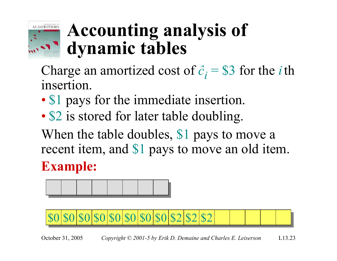

### **Accounting analysis of dynamic tables**

Charge an amortized cost of  $\hat{c}_i$  = \$3 for the *i* th insertion.

- •• \$1 pays for the immediate insertion.
- •• \$2 is stored for later table doubling.

**Example:** When the table doubles, \$1 pays to move a recent item, and \$1 pays to move an old item.



\$0\$0\$0\$0\$0\$0\$0\$2 \$2 \$2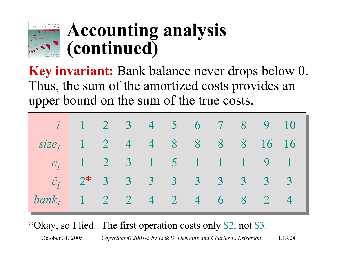

### **Accounting analysis (continued)**

**Key invariant:** Bank balance never drops below 0. Thus, the sum of the amortized costs provides an upper bound on the sum of the true costs.

|                                | $i$ 1 2 3 4 5 6 7 8 9 10         |  |  |  |  |  |
|--------------------------------|----------------------------------|--|--|--|--|--|
| $size_i$ 1 2 4 4 8 8 8 8 16 16 |                                  |  |  |  |  |  |
|                                | $c_i$ 1 2 3 1 5 1 1 1 9 1        |  |  |  |  |  |
|                                | $\hat{c}_i$ 2* 3 3 3 3 3 3 3 3 3 |  |  |  |  |  |
| $bank_i$                       | $1$ 2 2 4 2 4 6 8 2 4            |  |  |  |  |  |

\*Okay, so I lied. The first operation costs only \$2, not \$3.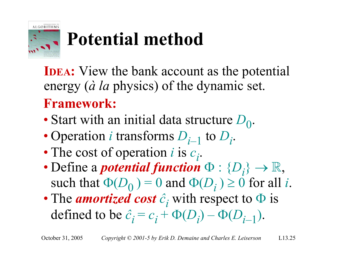

## **Potential method**

**IDEA:** View the bank account as the potential energy (*à la* physics) of the dynamic set. **Framework:**

- Start with an initial data structure D<sub>0</sub>.
- Operation *i* transforms  $D_{i-1}$  to  $D_i$ .
- The cost of operation *i* is  $c_i$ .
- Define a *potential function*  $\Phi : \{D_i\} \to \mathbb{R}$ , such that  $\Phi(D_0) = 0$  and  $\Phi(D_i) \ge 0$  for all *i*.
- The *amortized cost <sup>ĉ</sup><sup>i</sup>* with respect to <sup>Φ</sup> is defined to be  $\hat{c}_i = c_i + \Phi(D_i) - \Phi(D_{i-1}).$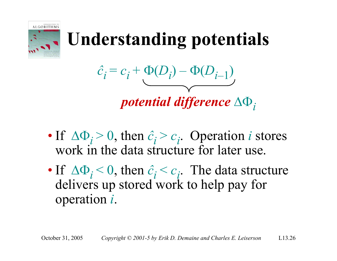

## **Understanding potentials**

$$
\hat{c}_i = c_i + \underbrace{\Phi(D_i) - \Phi(D_{i-1})}_{\text{max}}
$$

*potential difference* ∆Φ*<sup>i</sup>*

- If  $\Delta \Phi_i > 0$ , then  $\hat{c}_i > c_i$ . Operation *i* stores work in the data structure for later use.
- If  $\Delta \Phi_i$  < 0, then  $\hat{c}_i$  <  $c_i$ . The data structure delivers up stored work to help pay for operation *i*.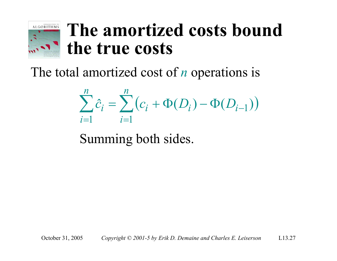

#### **The amortized costs bound the true costs**

The total amortized cost of *n* operations is

$$
\sum_{i=1}^{n} \hat{c}_i = \sum_{i=1}^{n} (c_i + \Phi(D_i) - \Phi(D_{i-1}))
$$

Summing both sides.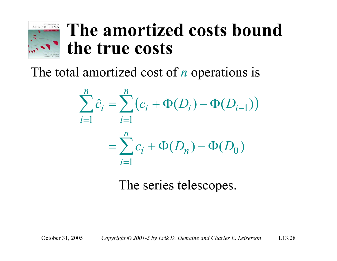

#### **The amortized costs bound the true costs**

The total amortized cost of *n* operations is

$$
\sum_{i=1}^{n} \hat{c}_i = \sum_{i=1}^{n} (c_i + \Phi(D_i) - \Phi(D_{i-1}))
$$
  
= 
$$
\sum_{i=1}^{n} c_i + \Phi(D_n) - \Phi(D_0)
$$

The series telescopes.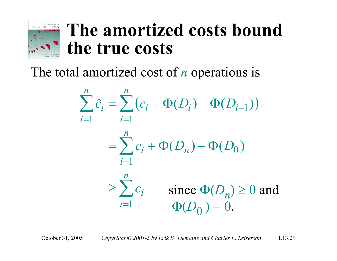

#### **The amortized costs bound the true costs**

The total amortized cost of *n* operations is

$$
\sum_{i=1}^{n} \hat{c}_i = \sum_{i=1}^{n} (c_i + \Phi(D_i) - \Phi(D_{i-1}))
$$
  
= 
$$
\sum_{i=1}^{n} c_i + \Phi(D_n) - \Phi(D_0)
$$
  

$$
\geq \sum_{i=1}^{n} c_i \text{ since } \Phi(D_n) \geq 0 \text{ and }
$$
  

$$
\Phi(D_0) = 0.
$$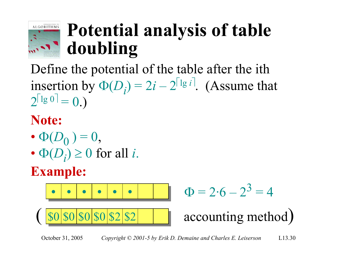

### **Potential analysis of table doubling**

Define the potential of the table after the ith insertion by  $\Phi(D_i) = 2i - 2^{\lceil \lg i \rceil}$ . (Assume that  $2^{\lceil \lg 0 \rceil} = 0.$ 

#### **Note:**

- $\bullet$   $\Phi(D_0^-)=0,$
- $\Phi(D_i) \geq 0$  for all *i*.

#### **Example:**

$$
\bullet \hspace{0.09cm} \bullet \hspace{0.09cm} \bullet \hspace{0.09cm} \bullet \hspace{0.09cm} \bullet \hspace{0.09cm} \bullet \hspace{0.09cm} \bullet \hspace{0.09cm} \bullet \hspace{0.09cm} \bullet
$$

$$
\Phi = 2.6 - 2^3 = 4
$$

accounting method)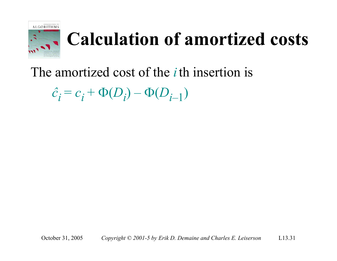

## **Calculation of amortized costs**

#### The amortized cost of the *i* th insertion is

 $\hat{c}_i = c_i + \Phi(D_i) - \Phi(D_{i-1})$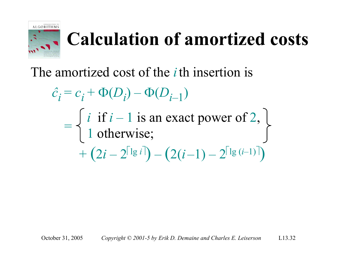

## **Calculation of amortized costs**

#### The amortized cost of the *i* th insertion is

$$
\hat{c}_i = c_i + \Phi(D_i) - \Phi(D_{i-1})
$$
  
= 
$$
\begin{cases} i & \text{if } i-1 \text{ is an exact power of 2,} \\ 1 & \text{otherwise;} \\ + (2i - 2^{\lceil \lg i \rceil}) - (2(i-1) - 2^{\lceil \lg (i-1) \rceil}) \end{cases}
$$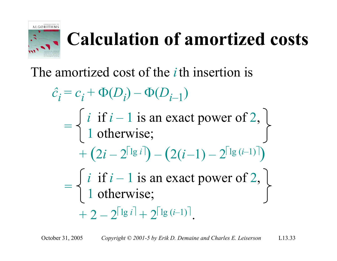

## **Calculation of amortized costs**

#### The amortized cost of the *i* th insertion is

$$
\hat{c}_i = c_i + \Phi(D_i) - \Phi(D_{i-1})
$$
\n
$$
= \begin{cases}\ni \text{ if } i-1 \text{ is an exact power of 2,} \\
1 \text{ otherwise;} \\
+ (2i - 2^{\lceil \lg i \rceil}) - (2(i-1) - 2^{\lceil \lg (i-1) \rceil})\n\end{cases}
$$
\n
$$
= \begin{cases}\ni \text{ if } i-1 \text{ is an exact power of 2,} \\
1 \text{ otherwise;} \\
+ 2 - 2^{\lceil \lg i \rceil} + 2^{\lceil \lg (i-1) \rceil}.\n\end{cases}
$$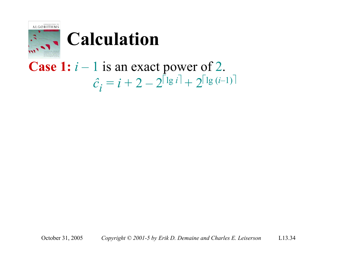

#### **Case 1:** *i* – 1 is an exact power of 2.  $\hat{c}_i = i + 2 - 2^{\lceil \lg i \rceil} + 2^{\lceil \lg (i-1) \rceil}$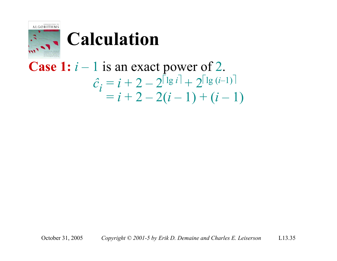

**Case 1:** 
$$
i - 1
$$
 is an exact power of 2.  
\n
$$
\hat{c}_i = i + 2 - 2^{\lceil \lg i \rceil} + 2^{\lceil \lg (i-1) \rceil}
$$
\n
$$
= i + 2 - 2(i - 1) + (i - 1)
$$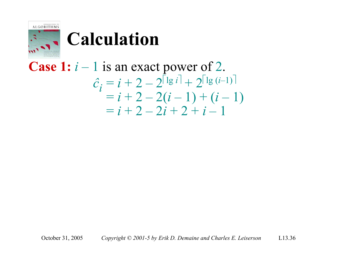

**Case 1:** 
$$
i - 1
$$
 is an exact power of 2.  
\n
$$
\hat{c}_i = i + 2 - 2^{\lceil \lg i \rceil} + 2^{\lceil \lg (i-1) \rceil}
$$
\n
$$
= i + 2 - 2(i - 1) + (i - 1)
$$
\n
$$
= i + 2 - 2i + 2 + i - 1
$$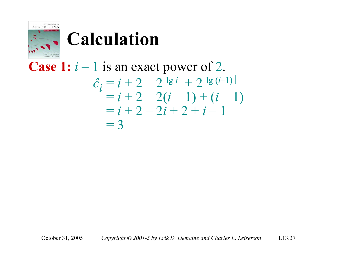

**Case 1:** 
$$
i - 1
$$
 is an exact power of 2.  
\n
$$
\begin{aligned}\n\hat{c}_i &= i + 2 - 2^{\lceil \lg i \rceil} + 2^{\lceil \lg (i-1) \rceil} \\
&= i + 2 - 2(i - 1) + (i - 1) \\
&= i + 2 - 2i + 2 + i - 1 \\
&= 3\n\end{aligned}
$$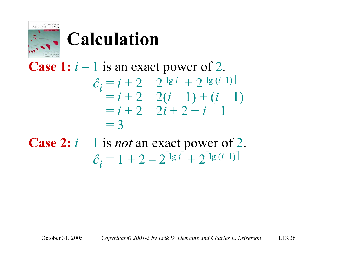

**Case 1:** 
$$
i - 1
$$
 is an exact power of 2.  
\n
$$
\hat{c}_i = i + 2 - 2^{\lceil \lg i \rceil} + 2^{\lceil \lg (i-1) \rceil}
$$
\n
$$
= i + 2 - 2(i - 1) + (i - 1)
$$
\n
$$
= i + 2 - 2i + 2 + i - 1
$$
\n
$$
= 3
$$

**Case 2:** *i* – 1 is *not* an exact power of 2.  $\hat{c}_i = 1 + 2 - 2^{\lceil \lg i \rceil} + 2^{\lceil \lg (i-1) \rceil}$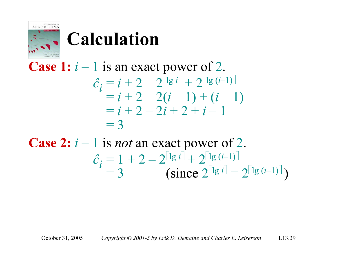

**Case 1:** 
$$
i - 1
$$
 is an exact power of 2.  
\n
$$
\begin{aligned}\n\hat{c}_i &= i + 2 - 2^{\lceil \lg i \rceil} + 2^{\lceil \lg (i-1) \rceil} \\
&= i + 2 - 2(i - 1) + (i - 1) \\
&= i + 2 - 2i + 2 + i - 1 \\
&= 3\n\end{aligned}
$$

**Case 2:** *i* – 1 is *not* an exact power of 2.  $\hat{c}^{}_{\vec{l}} = 1 + 2 - 2^{\left\lceil \lg \iota \rceil \right\rceil} + 2^{\left\lceil \lg \left( \vec{l-1} \right) \right\rceil}$  $= 3$  (since  $2^{\lceil \lg i \rceil} = 2^{\lceil \lg (i-1) \rceil}$ )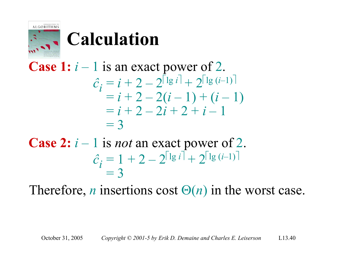

**Case 1:** 
$$
i - 1
$$
 is an exact power of 2.  
\n
$$
\hat{c}_i = i + 2 - 2^{\lceil \lg i \rceil} + 2^{\lceil \lg (i-1) \rceil}
$$
\n
$$
= i + 2 - 2(i - 1) + (i - 1)
$$
\n
$$
= i + 2 - 2i + 2 + i - 1
$$
\n
$$
= 3
$$

**Case 2:** *i* – 1 is *not* an exact power of 2.  $\hat{c}_i = 1 + 2 - 2^{\lceil \lg i \rceil} + 2^{\lceil \lg (i-1) \rceil}$  $= 3$ 

Therefore, *n* insertions cost  $\Theta(n)$  in the worst case.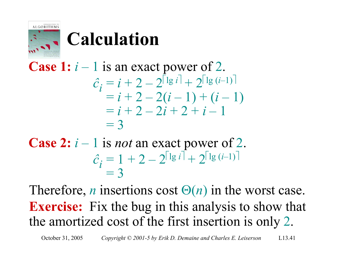

**Case 1:** 
$$
i - 1
$$
 is an exact power of 2.  
\n
$$
\hat{c}_i = i + 2 - 2^{\lceil \lg i \rceil} + 2^{\lceil \lg (i-1) \rceil}
$$
\n
$$
= i + 2 - 2(i - 1) + (i - 1)
$$
\n
$$
= i + 2 - 2i + 2 + i - 1
$$
\n
$$
= 3
$$

**Case 2:** *i* – 1 is *not* an exact power of 2.  $\hat{c}_i = 1 + 2 - 2^{\lceil \lg i \rceil} + 2^{\lceil \lg (i-1) \rceil}$  $= 3$ 

Therefore, *n* insertions cost  $\Theta(n)$  in the worst case. **Exercise:** Fix the bug in this analysis to show that the amortized cost of the first insertion is only 2.